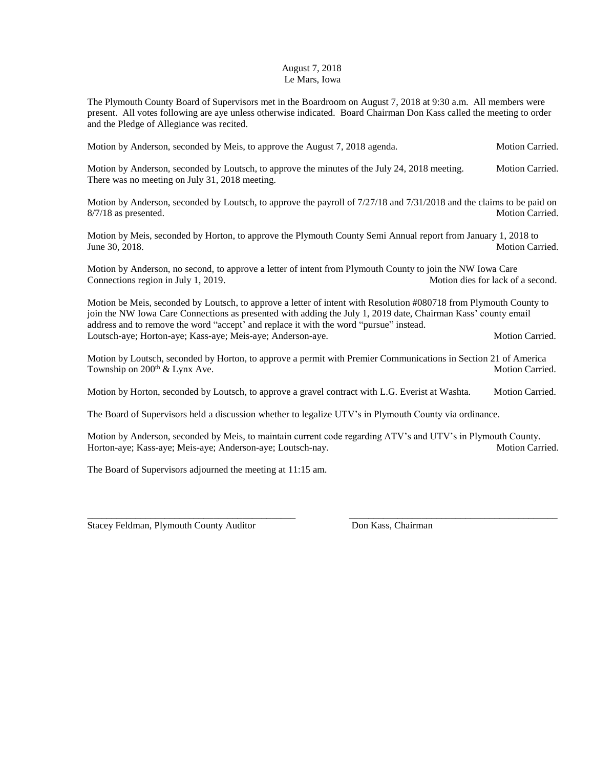## August 7, 2018 Le Mars, Iowa

The Plymouth County Board of Supervisors met in the Boardroom on August 7, 2018 at 9:30 a.m. All members were present. All votes following are aye unless otherwise indicated. Board Chairman Don Kass called the meeting to order and the Pledge of Allegiance was recited.

Motion by Anderson, seconded by Meis, to approve the August 7, 2018 agenda. Motion Carried.

Motion by Anderson, seconded by Loutsch, to approve the minutes of the July 24, 2018 meeting. Motion Carried. There was no meeting on July 31, 2018 meeting.

Motion by Anderson, seconded by Loutsch, to approve the payroll of 7/27/18 and 7/31/2018 and the claims to be paid on 8/7/18 as presented. Motion Carried.

Motion by Meis, seconded by Horton, to approve the Plymouth County Semi Annual report from January 1, 2018 to June 30, 2018. Motion Carried.

Motion by Anderson, no second, to approve a letter of intent from Plymouth County to join the NW Iowa Care Connections region in July 1, 2019. Motion dies for lack of a second.

Motion be Meis, seconded by Loutsch, to approve a letter of intent with Resolution #080718 from Plymouth County to join the NW Iowa Care Connections as presented with adding the July 1, 2019 date, Chairman Kass' county email address and to remove the word "accept' and replace it with the word "pursue" instead. Loutsch-aye; Horton-aye; Kass-aye; Meis-aye; Anderson-aye. Motion Carried.

Motion by Loutsch, seconded by Horton, to approve a permit with Premier Communications in Section 21 of America Township on 200<sup>th</sup> & Lynx Ave. Motion Carried.

Motion by Horton, seconded by Loutsch, to approve a gravel contract with L.G. Everist at Washta. Motion Carried.

The Board of Supervisors held a discussion whether to legalize UTV's in Plymouth County via ordinance.

Motion by Anderson, seconded by Meis, to maintain current code regarding ATV's and UTV's in Plymouth County. Horton-aye; Kass-aye; Meis-aye; Anderson-aye; Loutsch-nay. Motion Carried.

\_\_\_\_\_\_\_\_\_\_\_\_\_\_\_\_\_\_\_\_\_\_\_\_\_\_\_\_\_\_\_\_\_\_\_\_\_\_\_\_\_\_\_ \_\_\_\_\_\_\_\_\_\_\_\_\_\_\_\_\_\_\_\_\_\_\_\_\_\_\_\_\_\_\_\_\_\_\_\_\_\_\_\_\_\_\_

The Board of Supervisors adjourned the meeting at 11:15 am.

Stacey Feldman, Plymouth County Auditor Don Kass, Chairman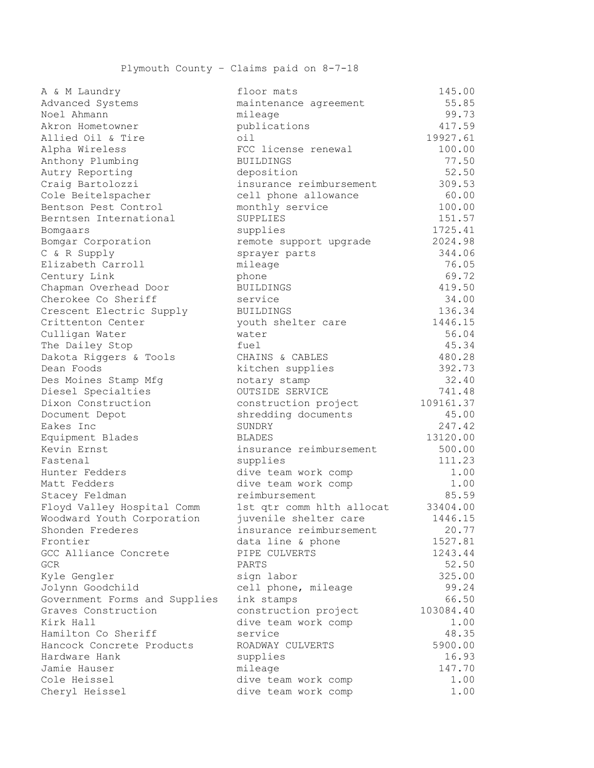| A & M Laundry                 | floor mats                | 145.00    |
|-------------------------------|---------------------------|-----------|
| Advanced Systems              | maintenance agreement     | 55.85     |
| Noel Ahmann                   | mileage                   | 99.73     |
| Akron Hometowner              | publications              | 417.59    |
| Allied Oil & Tire             | oil                       | 19927.61  |
| Alpha Wireless                | FCC license renewal       | 100.00    |
| Anthony Plumbing              | <b>BUILDINGS</b>          | 77.50     |
| Autry Reporting               | deposition                | 52.50     |
| Craig Bartolozzi              | insurance reimbursement   | 309.53    |
| Cole Beitelspacher            | cell phone allowance      | 60.00     |
| Bentson Pest Control          | monthly service           | 100.00    |
| Berntsen International        | SUPPLIES                  | 151.57    |
| Bomgaars                      | supplies                  | 1725.41   |
| Bomgar Corporation            | remote support upgrade    | 2024.98   |
| C & R Supply                  | sprayer parts             | 344.06    |
| Elizabeth Carroll             | mileage                   | 76.05     |
| Century Link                  | phone                     | 69.72     |
| Chapman Overhead Door         | <b>BUILDINGS</b>          | 419.50    |
| Cherokee Co Sheriff           | service                   | 34.00     |
| Crescent Electric Supply      | <b>BUILDINGS</b>          | 136.34    |
| Crittenton Center             | youth shelter care        | 1446.15   |
| Culligan Water                | water                     | 56.04     |
| The Dailey Stop               | fuel                      | 45.34     |
| Dakota Riggers & Tools        | CHAINS & CABLES           | 480.28    |
| Dean Foods                    | kitchen supplies          | 392.73    |
| Des Moines Stamp Mfg          | notary stamp              | 32.40     |
| Diesel Specialties            | OUTSIDE SERVICE           | 741.48    |
| Dixon Construction            | construction project      | 109161.37 |
| Document Depot                | shredding documents       | 45.00     |
| Eakes Inc                     | SUNDRY                    | 247.42    |
| Equipment Blades              | <b>BLADES</b>             | 13120.00  |
| Kevin Ernst                   | insurance reimbursement   | 500.00    |
| Fastenal                      | supplies                  | 111.23    |
| Hunter Fedders                | dive team work comp       | 1.00      |
| Matt Fedders                  | dive team work comp       | 1.00      |
| Stacey Feldman                | reimbursement             | 85.59     |
| Floyd Valley Hospital Comm    | 1st qtr comm hlth allocat | 33404.00  |
| Woodward Youth Corporation    | juvenile shelter care     | 1446.15   |
| Shonden Frederes              | insurance reimbursement   | 20.77     |
| Frontier                      | data line & phone         | 1527.81   |
| GCC Alliance Concrete         | PIPE CULVERTS             | 1243.44   |
| GCR                           | PARTS                     | 52.50     |
| Kyle Gengler                  | sign labor                | 325.00    |
| Jolynn Goodchild              | cell phone, mileage       | 99.24     |
| Government Forms and Supplies | ink stamps                | 66.50     |
| Graves Construction           | construction project      | 103084.40 |
| Kirk Hall                     | dive team work comp       | 1.00      |
| Hamilton Co Sheriff           | service                   | 48.35     |
| Hancock Concrete Products     | ROADWAY CULVERTS          | 5900.00   |
| Hardware Hank                 | supplies                  | 16.93     |
| Jamie Hauser                  | mileage                   | 147.70    |
| Cole Heissel                  | dive team work comp       | 1.00      |
| Cheryl Heissel                | dive team work comp       | 1.00      |
|                               |                           |           |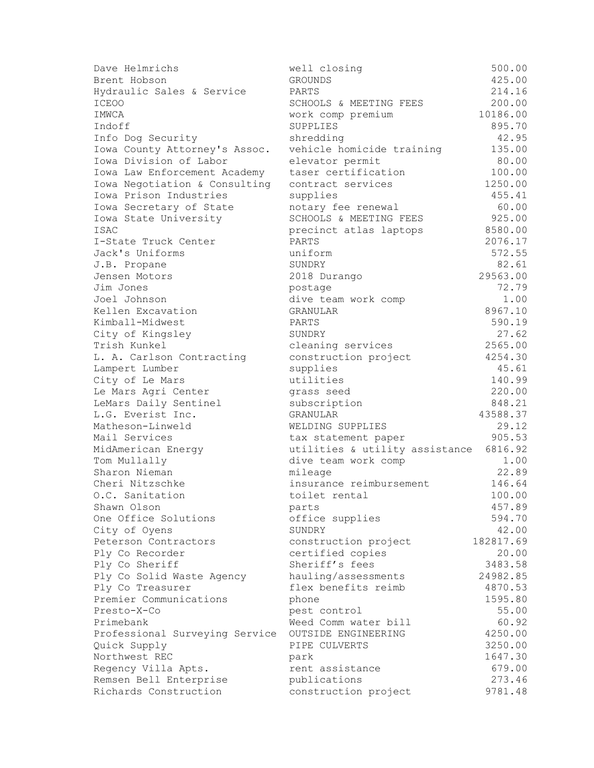| Dave Helmrichs                 | well closing                   | 500.00    |
|--------------------------------|--------------------------------|-----------|
| Brent Hobson                   | <b>GROUNDS</b>                 | 425.00    |
| Hydraulic Sales & Service      | PARTS                          | 214.16    |
| <b>ICEOO</b>                   | SCHOOLS & MEETING FEES         | 200.00    |
| IMWCA                          | work comp premium              | 10186.00  |
| Indoff                         | SUPPLIES                       | 895.70    |
| Info Dog Security              | shredding                      | 42.95     |
| Iowa County Attorney's Assoc.  | vehicle homicide training      | 135.00    |
| Iowa Division of Labor         | elevator permit                | 80.00     |
| Iowa Law Enforcement Academy   | taser certification            | 100.00    |
| Iowa Negotiation & Consulting  | contract services              | 1250.00   |
| Iowa Prison Industries         | supplies                       | 455.41    |
| Iowa Secretary of State        | notary fee renewal             | 60.00     |
| Iowa State University          | SCHOOLS & MEETING FEES         | 925.00    |
| <b>ISAC</b>                    | precinct atlas laptops         | 8580.00   |
| I-State Truck Center           | PARTS                          | 2076.17   |
| Jack's Uniforms                | uniform                        | 572.55    |
| J.B. Propane                   | SUNDRY                         | 82.61     |
| Jensen Motors                  | 2018 Durango                   | 29563.00  |
| Jim Jones                      | postage                        | 72.79     |
| Joel Johnson                   | dive team work comp            | 1.00      |
| Kellen Excavation              | GRANULAR                       | 8967.10   |
| Kimball-Midwest                | PARTS                          | 590.19    |
| City of Kingsley               | SUNDRY                         | 27.62     |
| Trish Kunkel                   | cleaning services              | 2565.00   |
|                                | construction project           | 4254.30   |
| L. A. Carlson Contracting      |                                | 45.61     |
| Lampert Lumber                 | supplies<br>utilities          | 140.99    |
| City of Le Mars                |                                | 220.00    |
| Le Mars Agri Center            | grass seed                     | 848.21    |
| LeMars Daily Sentinel          | subscription                   |           |
| L.G. Everist Inc.              | GRANULAR                       | 43588.37  |
| Matheson-Linweld               | WELDING SUPPLIES               | 29.12     |
| Mail Services                  | tax statement paper            | 905.53    |
| MidAmerican Energy             | utilities & utility assistance | 6816.92   |
| Tom Mullally                   | dive team work comp            | 1.00      |
| Sharon Nieman                  | mileage                        | 22.89     |
| Cheri Nitzschke                | insurance reimbursement        | 146.64    |
| O.C. Sanitation                | toilet rental                  | 100.00    |
| Shawn Olson                    | parts                          | 457.89    |
| One Office Solutions           | office supplies                | 594.70    |
| City of Oyens                  | SUNDRY                         | 42.00     |
| Peterson Contractors           | construction project           | 182817.69 |
| Ply Co Recorder                | certified copies               | 20.00     |
| Ply Co Sheriff                 | Sheriff's fees                 | 3483.58   |
| Ply Co Solid Waste Agency      | hauling/assessments            | 24982.85  |
| Ply Co Treasurer               | flex benefits reimb            | 4870.53   |
| Premier Communications         | phone                          | 1595.80   |
| Presto-X-Co                    | pest control                   | 55.00     |
| Primebank                      | Weed Comm water bill           | 60.92     |
| Professional Surveying Service | OUTSIDE ENGINEERING            | 4250.00   |
| Quick Supply                   | PIPE CULVERTS                  | 3250.00   |
| Northwest REC                  | park                           | 1647.30   |
| Regency Villa Apts.            | rent assistance                | 679.00    |
| Remsen Bell Enterprise         | publications                   | 273.46    |
| Richards Construction          | construction project           | 9781.48   |